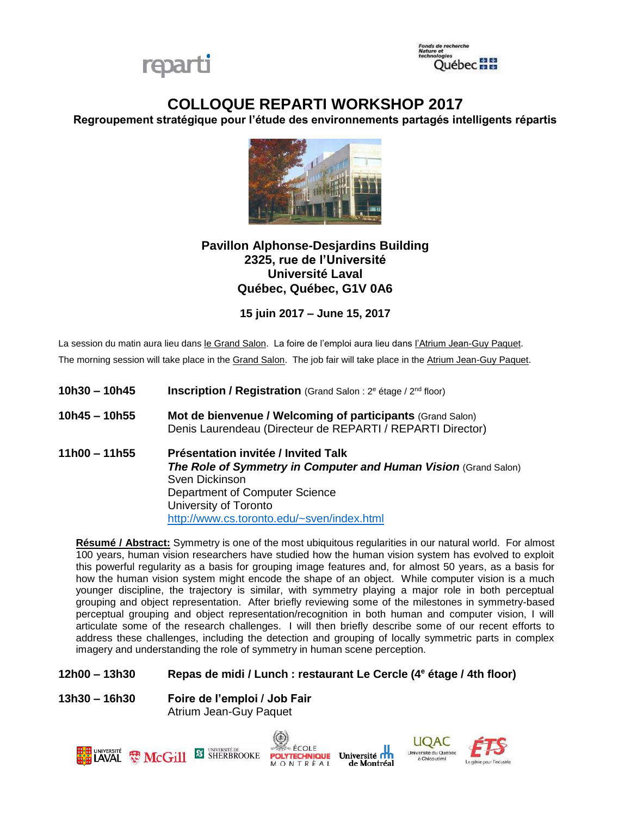



# **COLLOQUE REPARTI WORKSHOP 2017**

**Regroupement stratégique pour l'étude des environnements partagés intelligents répartis**



# **Pavillon Alphonse-Desjardins Building 2325, rue de l'Université Université Laval Québec, Québec, G1V 0A6**

**15 juin 2017 – June 15, 2017**

La session du matin aura lieu dans le Grand Salon. La foire de l'emploi aura lieu dans l'Atrium Jean-Guy Paquet. The morning session will take place in the Grand Salon. The job fair will take place in the Atrium Jean-Guy Paquet.

- **10h30 – 10h45 Inscription / Registration** (Grand Salon : 2<sup>e</sup> étage / 2nd floor)
- **10h45 – 10h55 Mot de bienvenue / Welcoming of participants** (Grand Salon) Denis Laurendeau (Directeur de REPARTI / REPARTI Director)
- **11h00 – 11h55 Présentation invitée / Invited Talk** *The Role of Symmetry in Computer and Human Vision* (Grand Salon) Sven Dickinson Department of Computer Science University of Toronto <http://www.cs.toronto.edu/~sven/index.html>

**Résumé / Abstract:** Symmetry is one of the most ubiquitous regularities in our natural world. For almost 100 years, human vision researchers have studied how the human vision system has evolved to exploit this powerful regularity as a basis for grouping image features and, for almost 50 years, as a basis for how the human vision system might encode the shape of an object. While computer vision is a much younger discipline, the trajectory is similar, with symmetry playing a major role in both perceptual grouping and object representation. After briefly reviewing some of the milestones in symmetry-based perceptual grouping and object representation/recognition in both human and computer vision, I will articulate some of the research challenges. I will then briefly describe some of our recent efforts to address these challenges, including the detection and grouping of locally symmetric parts in complex imagery and understanding the role of symmetry in human scene perception.

#### **12h00 – 13h30 Repas de midi / Lunch : restaurant Le Cercle (4<sup>e</sup> étage / 4th floor)**

**13h30 – 16h30 Foire de l'emploi / Job Fair** Atrium Jean-Guy Paquet